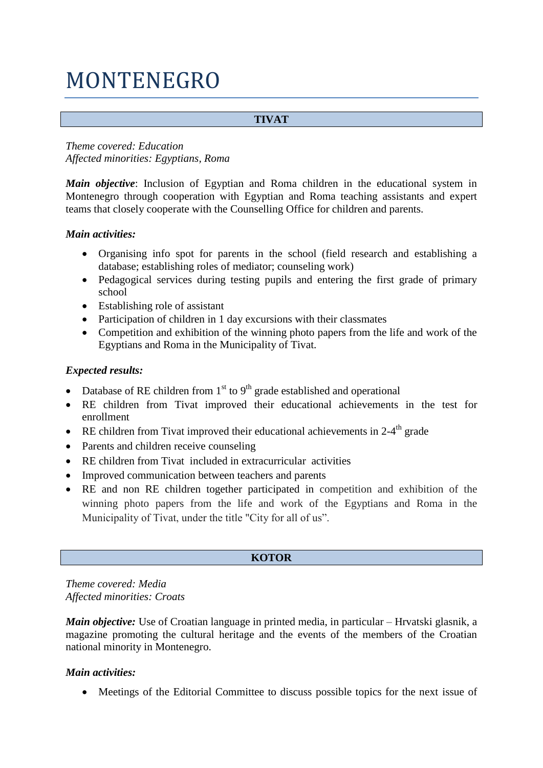# MONTENEGRO

# **TIVAT**

# *Theme covered: Education Affected minorities: Egyptians, Roma*

*Main objective*: Inclusion of Egyptian and Roma children in the educational system in Montenegro through cooperation with Egyptian and Roma teaching assistants and expert teams that closely cooperate with the Counselling Office for children and parents.

#### *Main activities:*

- Organising info spot for parents in the school (field research and establishing a database; establishing roles of mediator; counseling work)
- Pedagogical services during testing pupils and entering the first grade of primary school
- Establishing role of assistant
- Participation of children in 1 day excursions with their classmates
- Competition and exhibition of the winning photo papers from the life and work of the Egyptians and Roma in the Municipality of Tivat.

# *Expected results:*

- Database of RE children from  $1<sup>st</sup>$  to  $9<sup>th</sup>$  grade established and operational
- RE children from Tivat improved their educational achievements in the test for enrollment
- RE children from Tivat improved their educational achievements in  $2-4^{\text{th}}$  grade
- Parents and children receive counseling
- RE children from Tivat included in extracurricular activities
- Improved communication between teachers and parents
- RE and non RE children together participated in competition and exhibition of the winning photo papers from the life and work of the Egyptians and Roma in the Municipality of Tivat, under the title "City for all of us".

# **KOTOR**

*Theme covered: Media Affected minorities: Croats*

*Main objective:* Use of Croatian language in printed media, in particular – Hrvatski glasnik, a magazine promoting the cultural heritage and the events of the members of the Croatian national minority in Montenegro.

# *Main activities:*

• Meetings of the Editorial Committee to discuss possible topics for the next issue of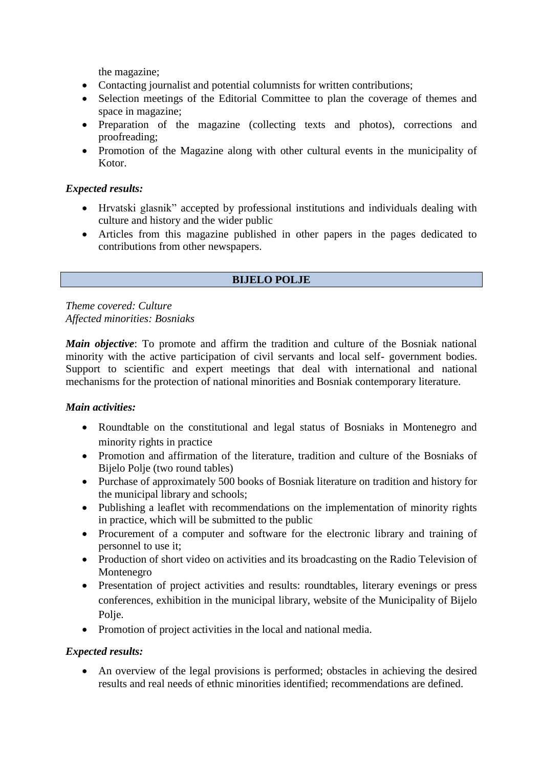the magazine;

- Contacting journalist and potential columnists for written contributions;
- Selection meetings of the Editorial Committee to plan the coverage of themes and space in magazine;
- Preparation of the magazine (collecting texts and photos), corrections and proofreading;
- Promotion of the Magazine along with other cultural events in the municipality of Kotor.

# *Expected results:*

- Hrvatski glasnik" accepted by professional institutions and individuals dealing with culture and history and the wider public
- Articles from this magazine published in other papers in the pages dedicated to contributions from other newspapers.

#### **BIJELO POLJE**

*Theme covered: Culture Affected minorities: Bosniaks*

*Main objective*: To promote and affirm the tradition and culture of the Bosniak national minority with the active participation of civil servants and local self- government bodies. Support to scientific and expert meetings that deal with international and national mechanisms for the protection of national minorities and Bosniak contemporary literature.

#### *Main activities:*

- Roundtable on the constitutional and legal status of Bosniaks in Montenegro and minority rights in practice
- Promotion and affirmation of the literature, tradition and culture of the Bosniaks of Bijelo Polje (two round tables)
- Purchase of approximately 500 books of Bosniak literature on tradition and history for the municipal library and schools;
- Publishing a leaflet with recommendations on the implementation of minority rights in practice, which will be submitted to the public
- Procurement of a computer and software for the electronic library and training of personnel to use it;
- Production of short video on activities and its broadcasting on the Radio Television of Montenegro
- Presentation of project activities and results: roundtables, literary evenings or press conferences, exhibition in the municipal library, website of the Municipality of Bijelo Polie.
- Promotion of project activities in the local and national media.

# *Expected results:*

 An overview of the legal provisions is performed; obstacles in achieving the desired results and real needs of ethnic minorities identified; recommendations are defined.